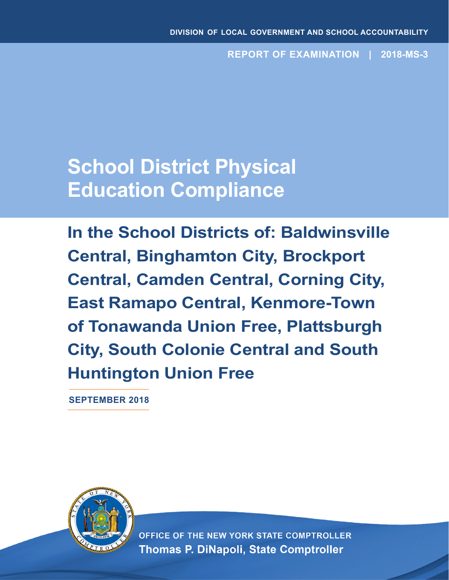**REPORT OF EXAMINATION | 2018-MS-3**

# **School District Physical Education Compliance**

**In the School Districts of: Baldwinsville Central, Binghamton City, Brockport Central, Camden Central, Corning City, East Ramapo Central, Kenmore-Town of Tonawanda Union Free, Plattsburgh City, South Colonie Central and South Huntington Union Free**

**SEPTEMBER 2018**



OFFICE OF THE NEW YORK STATE COMPTROLLER **Thomas P. DiNapoli, State Comptroller**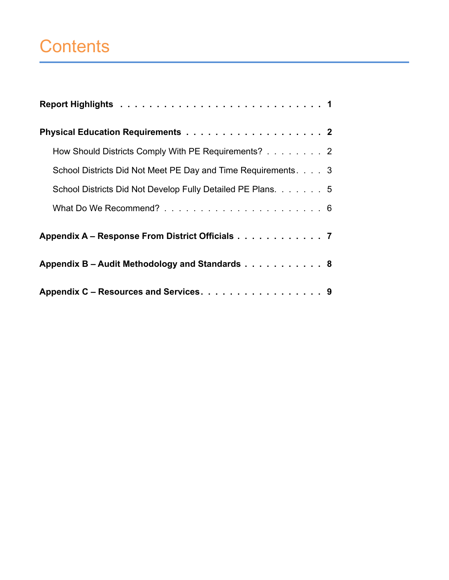# **Contents**

| How Should Districts Comply With PE Requirements? 2           |
|---------------------------------------------------------------|
| School Districts Did Not Meet PE Day and Time Requirements. 3 |
| School Districts Did Not Develop Fully Detailed PE Plans. 5   |
|                                                               |
| Appendix A - Response From District Officials 7               |
| Appendix B - Audit Methodology and Standards 8                |
| Appendix C - Resources and Services. 9                        |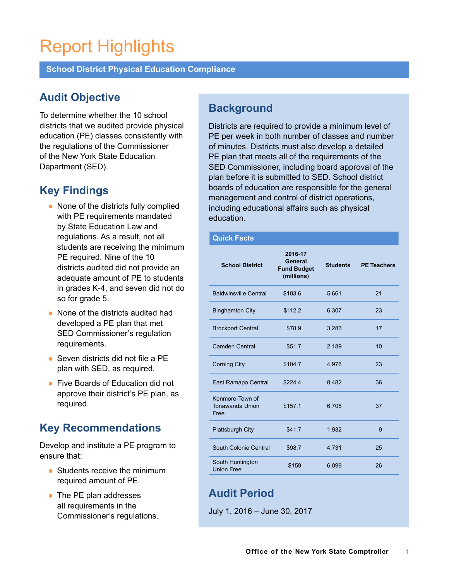# Report Highlights

**School District Physical Education Compliance**

## **Audit Objective**

To determine whether the 10 school districts that we audited provide physical education (PE) classes consistently with the regulations of the Commissioner of the New York State Education Department (SED).

### **Key Findings**

- None of the districts fully complied with PE requirements mandated by State Education Law and regulations. As a result, not all students are receiving the minimum PE required. Nine of the 10 districts audited did not provide an adequate amount of PE to students in grades K-4, and seven did not do so for grade 5.
- None of the districts audited had developed a PE plan that met SED Commissioner's regulation requirements.
- $\bullet$  Seven districts did not file a PE plan with SED, as required.
- Five Boards of Education did not approve their district's PE plan, as required.

## **Key Recommendations**

Develop and institute a PE program to ensure that:

- $\bullet$  Students receive the minimum required amount of PE.
- The PE plan addresses all requirements in the Commissioner's regulations.

### **Background**

Districts are required to provide a minimum level of PE per week in both number of classes and number of minutes. Districts must also develop a detailed PE plan that meets all of the requirements of the SED Commissioner, including board approval of the plan before it is submitted to SED. School district boards of education are responsible for the general management and control of district operations, including educational affairs such as physical education.

#### **Quick Facts**

| <b>School District</b>                     | 2016-17<br>General<br><b>Fund Budget</b><br>(millions) | <b>Students</b> | <b>PE Teachers</b> |
|--------------------------------------------|--------------------------------------------------------|-----------------|--------------------|
| <b>Baldwinsville Central</b>               | \$103.6                                                | 5,661           | 21                 |
| <b>Binghamton City</b>                     | \$112.2                                                | 6,307           | 23                 |
| <b>Brockport Central</b>                   | \$78.9                                                 | 3,283           | 17                 |
| <b>Camden Central</b>                      | \$51.7                                                 | 2,189           | 10                 |
| <b>Corning City</b>                        | \$104.7                                                | 4,976           | 23                 |
| East Ramapo Central                        | \$224.4                                                | 8,482           | 36                 |
| Kenmore-Town of<br>Tonawanda Union<br>Free | \$157.1                                                | 6,705           | 37                 |
| <b>Plattsburgh City</b>                    | \$41.7                                                 | 1,932           | 9                  |
| South Colonie Central                      | \$98.7                                                 | 4,731           | 25                 |
| South Huntington<br><b>Union Free</b>      | \$159                                                  | 6,099           | 26                 |

## **Audit Period**

July 1, 2016 – June 30, 2017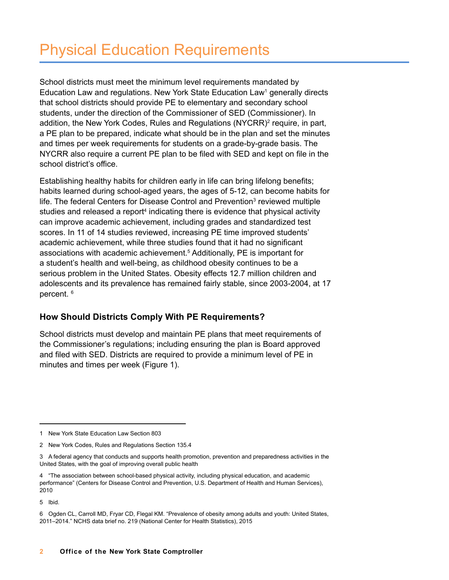School districts must meet the minimum level requirements mandated by Education Law and regulations. New York State Education Law<sup>1</sup> generally directs that school districts should provide PE to elementary and secondary school students, under the direction of the Commissioner of SED (Commissioner) In addition, the New York Codes, Rules and Regulations (NYCRR)<sup>2</sup> require, in part, a PE plan to be prepared, indicate what should be in the plan and set the minutes and times per week requirements for students on a grade-by-grade basis The NYCRR also require a current PE plan to be filed with SED and kept on file in the school district's office

Establishing healthy habits for children early in life can bring lifelong benefits; habits learned during school-aged years, the ages of 5-12, can become habits for life. The federal Centers for Disease Control and Prevention<sup>3</sup> reviewed multiple studies and released a report<sup>4</sup> indicating there is evidence that physical activity can improve academic achievement, including grades and standardized test scores. In 11 of 14 studies reviewed, increasing PE time improved students' academic achievement, while three studies found that it had no significant associations with academic achievement.<sup>5</sup> Additionally, PE is important for a student's health and well-being, as childhood obesity continues to be a serious problem in the United States. Obesity effects 12.7 million children and adolescents and its prevalence has remained fairly stable, since 2003-2004, at 17 percent.<sup>6</sup>

#### **How Should Districts Comply With PE Requirements?**

School districts must develop and maintain PE plans that meet requirements of the Commissioner's regulations; including ensuring the plan is Board approved and filed with SED. Districts are required to provide a minimum level of PE in minutes and times per week (Figure 1)

5 Ibid.

<sup>1</sup> New York State Education Law Section 803

<sup>2</sup> New York Codes, Rules and Regulations Section 135.4

<sup>3</sup> A federal agency that conducts and supports health promotion, prevention and preparedness activities in the United States, with the goal of improving overall public health

<sup>4</sup> "The association between school-based physical activity, including physical education, and academic performance" (Centers for Disease Control and Prevention, U.S. Department of Health and Human Services), 2010

<sup>6</sup> Ogden CL, Carroll MD, Fryar CD, Flegal KM. "Prevalence of obesity among adults and youth: United States, 2011–2014." NCHS data brief no. 219 (National Center for Health Statistics), 2015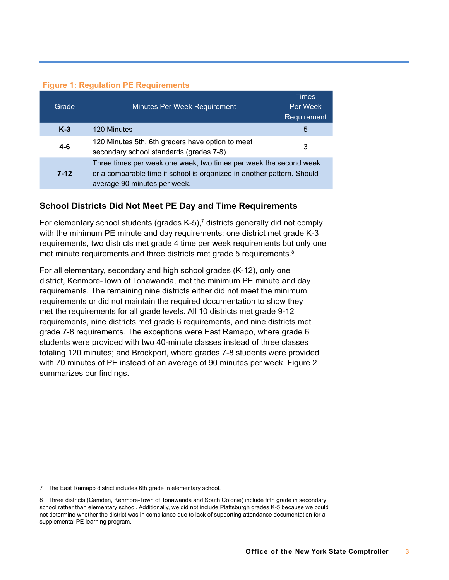#### **Figure 1: Regulation PE Requirements**

| Grade    | Minutes Per Week Requirement                                                                                                                                                | Times<br>Per Week<br>Requirement |
|----------|-----------------------------------------------------------------------------------------------------------------------------------------------------------------------------|----------------------------------|
| $K-3$    | 120 Minutes                                                                                                                                                                 | 5                                |
| $4 - 6$  | 120 Minutes 5th, 6th graders have option to meet<br>secondary school standards (grades 7-8).                                                                                | 3                                |
| $7 - 12$ | Three times per week one week, two times per week the second week<br>or a comparable time if school is organized in another pattern. Should<br>average 90 minutes per week. |                                  |

#### **School Districts Did Not Meet PE Day and Time Requirements**

For elementary school students (grades K-5),<sup>7</sup> districts generally did not comply with the minimum PE minute and day requirements: one district met grade K-3 requirements, two districts met grade 4 time per week requirements but only one met minute requirements and three districts met grade 5 requirements. 8

For all elementary, secondary and high school grades (K-12), only one district, Kenmore-Town of Tonawanda, met the minimum PE minute and day requirements. The remaining nine districts either did not meet the minimum requirements or did not maintain the required documentation to show they met the requirements for all grade levels. All 10 districts met grade 9-12 requirements, nine districts met grade 6 requirements, and nine districts met grade 7-8 requirements. The exceptions were East Ramapo, where grade 6 students were provided with two 40-minute classes instead of three classes totaling 120 minutes; and Brockport, where grades 7-8 students were provided with 70 minutes of PE instead of an average of 90 minutes per week. Figure 2 summarizes our findings.

<sup>7</sup> The East Ramapo district includes 6th grade in elementary school.

<sup>8</sup> Three districts (Camden, Kenmore-Town of Tonawanda and South Colonie) include fifth grade in secondary school rather than elementary school. Additionally, we did not include Plattsburgh grades K-5 because we could not determine whether the district was in compliance due to lack of supporting attendance documentation for a supplemental PE learning program.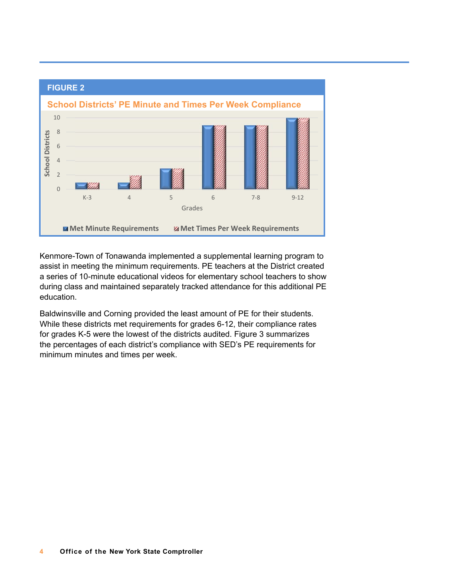

Kenmore-Town of Tonawanda implemented a supplemental learning program to assist in meeting the minimum requirements. PE teachers at the District created a series of 10-minute educational videos for elementary school teachers to show during class and maintained separately tracked attendance for this additional PE education.

Baldwinsville and Corning provided the least amount of PE for their students. While these districts met requirements for grades 6-12, their compliance rates for grades K-5 were the lowest of the districts audited. Figure 3 summarizes the percentages of each district's compliance with SED's PE requirements for minimum minutes and times per week.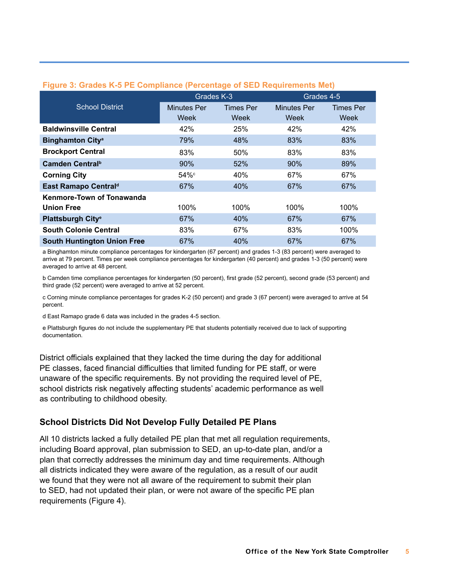| $\tilde{\phantom{a}}$              |                    |                  |                    |                  |  |
|------------------------------------|--------------------|------------------|--------------------|------------------|--|
|                                    | Grades K-3         |                  |                    | Grades 4-5       |  |
| <b>School District</b>             | <b>Minutes Per</b> | <b>Times Per</b> | <b>Minutes Per</b> | <b>Times Per</b> |  |
|                                    | Week               | Week             | Week               | Week             |  |
| <b>Baldwinsville Central</b>       | 42%                | 25%              | 42%                | 42%              |  |
| <b>Binghamton City<sup>a</sup></b> | 79%                | 48%              | 83%                | 83%              |  |
| <b>Brockport Central</b>           | 83%                | 50%              | 83%                | 83%              |  |
| Camden Central <sup>b</sup>        | 90%                | 52%              | 90%                | 89%              |  |
| <b>Corning City</b>                | 54% <sup>c</sup>   | 40%              | 67%                | 67%              |  |
| East Ramapo Central <sup>d</sup>   | 67%                | 40%              | 67%                | 67%              |  |
| Kenmore-Town of Tonawanda          |                    |                  |                    |                  |  |
| <b>Union Free</b>                  | 100%               | 100%             | 100%               | 100%             |  |
| Plattsburgh City <sup>e</sup>      | 67%                | 40%              | 67%                | 67%              |  |
| <b>South Colonie Central</b>       | 83%                | 67%              | 83%                | 100%             |  |
| <b>South Huntington Union Free</b> | 67%                | 40%              | 67%                | 67%              |  |

#### **Figure 3: Grades K-5 PE Compliance (Percentage of SED Requirements Met)**

a Binghamton minute compliance percentages for kindergarten (67 percent) and grades 1-3 (83 percent) were averaged to arrive at 79 percent. Times per week compliance percentages for kindergarten (40 percent) and grades 1-3 (50 percent) were averaged to arrive at 48 percent.

b Camden time compliance percentages for kindergarten (50 percent), first grade (52 percent), second grade (53 percent) and third grade (52 percent) were averaged to arrive at 52 percent.

c Corning minute compliance percentages for grades K-2 (50 percent) and grade 3 (67 percent) were averaged to arrive at 54 percent.

d East Ramapo grade 6 data was included in the grades 4-5 section.

e Plattsburgh figures do not include the supplementary PE that students potentially received due to lack of supporting documentation.

District officials explained that they lacked the time during the day for additional PE classes, faced financial difficulties that limited funding for PE staff, or were unaware of the specific requirements. By not providing the required level of PE, school districts risk negatively affecting students' academic performance as well as contributing to childhood obesity.

#### **School Districts Did Not Develop Fully Detailed PE Plans**

All 10 districts lacked a fully detailed PE plan that met all regulation requirements, including Board approval, plan submission to SED, an up-to-date plan, and/or a plan that correctly addresses the minimum day and time requirements. Although all districts indicated they were aware of the regulation, as a result of our audit we found that they were not all aware of the requirement to submit their plan to SED, had not updated their plan, or were not aware of the specific PE plan requirements (Figure 4).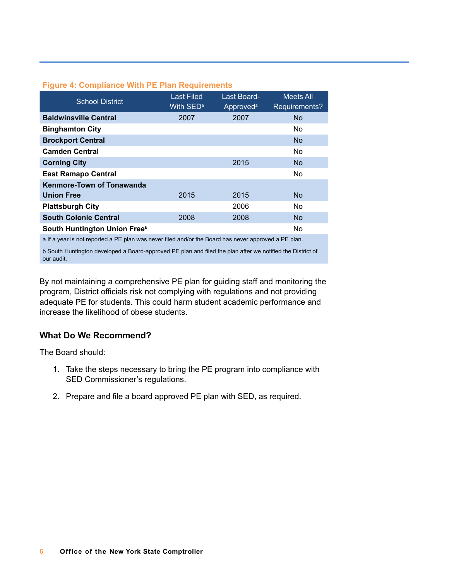|  |  | <b>Figure 4: Compliance With PE Plan Requirements</b> |
|--|--|-------------------------------------------------------|
|  |  |                                                       |

| <b>School District</b>       | <b>Last Filed</b><br>With SED <sup>a</sup> | Last Board-<br>Approved <sup>a</sup> | <b>Meets All</b><br>Requirements? |
|------------------------------|--------------------------------------------|--------------------------------------|-----------------------------------|
| <b>Baldwinsville Central</b> | 2007                                       | 2007                                 | N <sub>o</sub>                    |
| <b>Binghamton City</b>       |                                            |                                      | N <sub>o</sub>                    |
| <b>Brockport Central</b>     |                                            |                                      | N <sub>o</sub>                    |
| <b>Camden Central</b>        |                                            |                                      | <b>No</b>                         |
| <b>Corning City</b>          |                                            | 2015                                 | N <sub>o</sub>                    |
| <b>East Ramapo Central</b>   |                                            |                                      | No                                |
| Kenmore-Town of Tonawanda    |                                            |                                      |                                   |
| <b>Union Free</b>            | 2015                                       | 2015                                 | N <sub>o</sub>                    |
| <b>Plattsburgh City</b>      |                                            | 2006                                 | N <sub>o</sub>                    |
| <b>South Colonie Central</b> | 2008                                       | 2008                                 | <b>No</b>                         |
| South Huntington Union Freeb |                                            |                                      | <b>No</b>                         |

a If a year is not reported a PE plan was never filed and/or the Board has never approved a PE plan.

b South Huntington developed a Board-approved PE plan and filed the plan after we notified the District of our audit.

By not maintaining a comprehensive PE plan for guiding staff and monitoring the program, District officials risk not complying with regulations and not providing adequate PE for students. This could harm student academic performance and increase the likelihood of obese students.

#### **What Do We Recommend?**

The Board should:

- 1. Take the steps necessary to bring the PE program into compliance with SED Commissioner's regulations.
- 2. Prepare and file a board approved PE plan with SED, as required.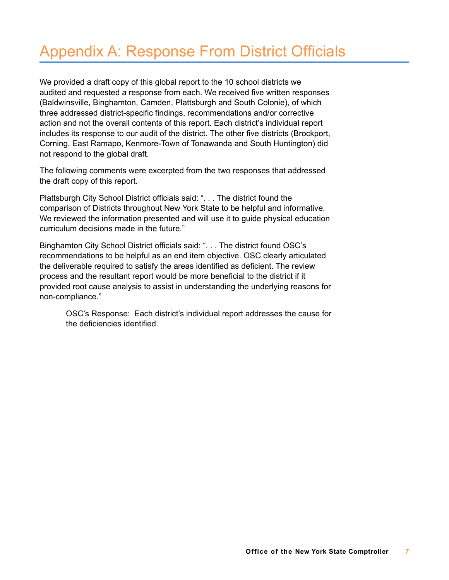## Appendix A: Response From District Officials

We provided a draft copy of this global report to the 10 school districts we audited and requested a response from each. We received five written responses (Baldwinsville, Binghamton, Camden, Plattsburgh and South Colonie), of which three addressed district-specific findings, recommendations and/or corrective action and not the overall contents of this report. Each district's individual report includes its response to our audit of the district. The other five districts (Brockport, Corning, East Ramapo, Kenmore-Town of Tonawanda and South Huntington) did not respond to the global draft.

The following comments were excerpted from the two responses that addressed the draft copy of this report.

Plattsburgh City School District officials said: "... The district found the comparison of Districts throughout New York State to be helpful and informative. We reviewed the information presented and will use it to guide physical education curriculum decisions made in the future."

Binghamton City School District officials said: "... The district found OSC's recommendations to be helpful as an end item objective. OSC clearly articulated the deliverable required to satisfy the areas identified as deficient. The review process and the resultant report would be more beneficial to the district if it provided root cause analysis to assist in understanding the underlying reasons for non-compliance."

OSC's Response: Each district's individual report addresses the cause for the deficiencies identified.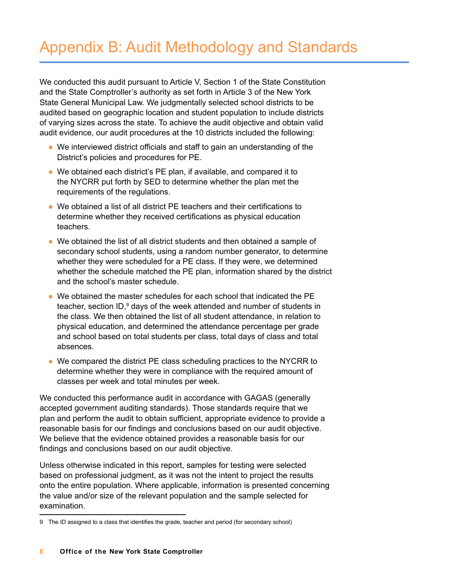## Appendix B: Audit Methodology and Standards

We conducted this audit pursuant to Article V, Section 1 of the State Constitution and the State Comptroller's authority as set forth in Article 3 of the New York State General Municipal Law. We judgmentally selected school districts to be audited based on geographic location and student population to include districts of varying sizes across the state. To achieve the audit objective and obtain valid audit evidence, our audit procedures at the 10 districts included the following:

- $\bullet$  We interviewed district officials and staff to gain an understanding of the District's policies and procedures for PE.
- We obtained each district's PE plan, if available, and compared it to the NYCRR put forth by SED to determine whether the plan met the requirements of the regulations.
- $\bullet$  We obtained a list of all district PE teachers and their certifications to determine whether they received certifications as physical education teachers.
- $\bullet$  We obtained the list of all district students and then obtained a sample of secondary school students, using a random number generator, to determine whether they were scheduled for a PE class. If they were, we determined whether the schedule matched the PE plan, information shared by the district and the school's master schedule.
- l We obtained the master schedules for each school that indicated the PE teacher, section ID,<sup>9</sup> days of the week attended and number of students in the class. We then obtained the list of all student attendance, in relation to physical education, and determined the attendance percentage per grade and school based on total students per class, total days of class and total absences.
- We compared the district PE class scheduling practices to the NYCRR to determine whether they were in compliance with the required amount of classes per week and total minutes per week.

We conducted this performance audit in accordance with GAGAS (generally accepted government auditing standards). Those standards require that we plan and perform the audit to obtain sufficient, appropriate evidence to provide a reasonable basis for our findings and conclusions based on our audit objective. We believe that the evidence obtained provides a reasonable basis for our findings and conclusions based on our audit objective.

Unless otherwise indicated in this report, samples for testing were selected based on professional judgment, as it was not the intent to project the results onto the entire population. Where applicable, information is presented concerning the value and/or size of the relevant population and the sample selected for examination.

<sup>9</sup> The ID assigned to a class that identifies the grade, teacher and period (for secondary school)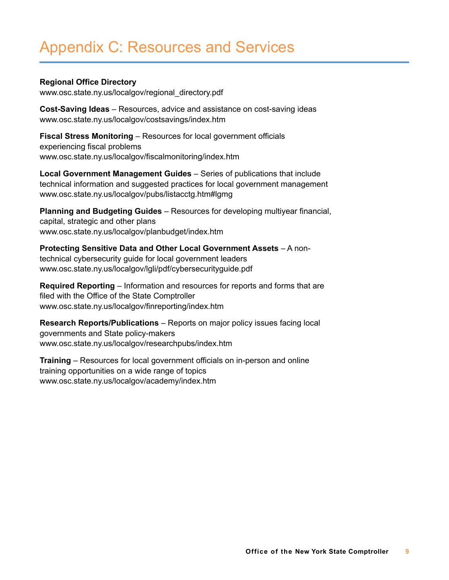## Appendix C: Resources and Services

#### **Regional Office Directory**

www.osc.state.ny.us/localgov/regional\_directory.pdf

**Cost-Saving Ideas** – Resources, advice and assistance on cost-saving ideas www.osc.state.ny.us/localgov/costsavings/index.htm

**Fiscal Stress Monitoring** – Resources for local government officials experiencing fiscal problems www.osc.state.ny.us/localgov/fiscalmonitoring/index.htm

**Local Government Management Guides** – Series of publications that include technical information and suggested practices for local government management www.osc.state.ny.us/localgov/pubs/listacctg.htm#lgmg

**Planning and Budgeting Guides** – Resources for developing multiyear financial, capital, strategic and other plans www.osc.state.ny.us/localgov/planbudget/index.htm

**Protecting Sensitive Data and Other Local Government Assets** – A nontechnical cybersecurity guide for local government leaders www.osc.state.ny.us/localgov/lgli/pdf/cybersecurityguide.pdf

**Required Reporting** – Information and resources for reports and forms that are filed with the Office of the State Comptroller www.osc.state.ny.us/localgov/finreporting/index.htm

**Research Reports/Publications** – Reports on major policy issues facing local governments and State policy-makers www.osc.state.ny.us/localgov/researchpubs/index.htm

**Training** – Resources for local government officials on in-person and online training opportunities on a wide range of topics www.osc.state.ny.us/localgov/academy/index.htm